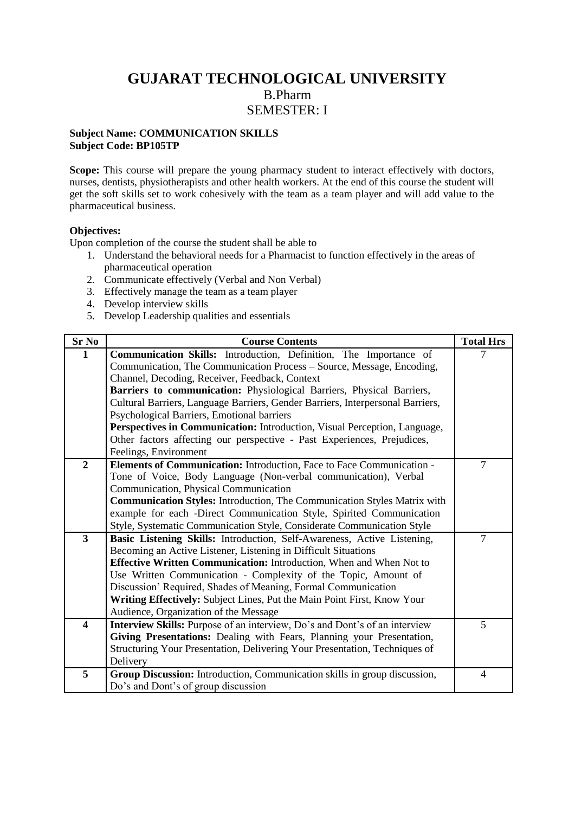# **GUJARAT TECHNOLOGICAL UNIVERSITY** B.Pharm SEMESTER: I

### **Subject Name: COMMUNICATION SKILLS Subject Code: BP105TP**

Scope: This course will prepare the young pharmacy student to interact effectively with doctors, nurses, dentists, physiotherapists and other health workers. At the end of this course the student will get the soft skills set to work cohesively with the team as a team player and will add value to the pharmaceutical business.

### **Objectives:**

Upon completion of the course the student shall be able to

- 1. Understand the behavioral needs for a Pharmacist to function effectively in the areas of pharmaceutical operation
- 2. Communicate effectively (Verbal and Non Verbal)
- 3. Effectively manage the team as a team player
- 4. Develop interview skills
- 5. Develop Leadership qualities and essentials

| $Sr$ No                 | <b>Course Contents</b>                                                          | <b>Total Hrs</b> |
|-------------------------|---------------------------------------------------------------------------------|------------------|
| $\mathbf{1}$            | Communication Skills: Introduction, Definition, The Importance of               | 7                |
|                         | Communication, The Communication Process - Source, Message, Encoding,           |                  |
|                         | Channel, Decoding, Receiver, Feedback, Context                                  |                  |
|                         | Barriers to communication: Physiological Barriers, Physical Barriers,           |                  |
|                         | Cultural Barriers, Language Barriers, Gender Barriers, Interpersonal Barriers,  |                  |
|                         | Psychological Barriers, Emotional barriers                                      |                  |
|                         | Perspectives in Communication: Introduction, Visual Perception, Language,       |                  |
|                         | Other factors affecting our perspective - Past Experiences, Prejudices,         |                  |
|                         | Feelings, Environment                                                           |                  |
| $\overline{2}$          | Elements of Communication: Introduction, Face to Face Communication -           | $\tau$           |
|                         | Tone of Voice, Body Language (Non-verbal communication), Verbal                 |                  |
|                         | Communication, Physical Communication                                           |                  |
|                         | <b>Communication Styles:</b> Introduction, The Communication Styles Matrix with |                  |
|                         | example for each -Direct Communication Style, Spirited Communication            |                  |
|                         | Style, Systematic Communication Style, Considerate Communication Style          |                  |
| $3^{\circ}$             | Basic Listening Skills: Introduction, Self-Awareness, Active Listening,         | $\overline{7}$   |
|                         | Becoming an Active Listener, Listening in Difficult Situations                  |                  |
|                         | Effective Written Communication: Introduction, When and When Not to             |                  |
|                         | Use Written Communication - Complexity of the Topic, Amount of                  |                  |
|                         | Discussion' Required, Shades of Meaning, Formal Communication                   |                  |
|                         | Writing Effectively: Subject Lines, Put the Main Point First, Know Your         |                  |
|                         | Audience, Organization of the Message                                           |                  |
| $\overline{\mathbf{4}}$ | Interview Skills: Purpose of an interview, Do's and Dont's of an interview      | 5                |
|                         | Giving Presentations: Dealing with Fears, Planning your Presentation,           |                  |
|                         | Structuring Your Presentation, Delivering Your Presentation, Techniques of      |                  |
|                         | Delivery                                                                        |                  |
| 5                       | Group Discussion: Introduction, Communication skills in group discussion,       | $\overline{4}$   |
|                         | Do's and Dont's of group discussion                                             |                  |